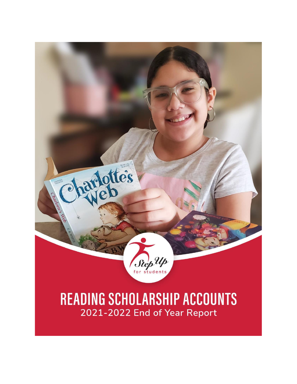

2021-2022 End of Year Report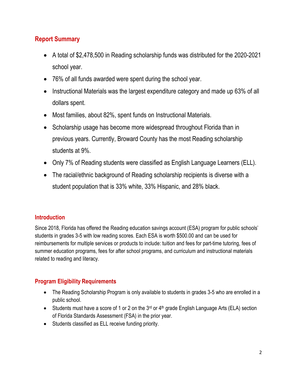## **Report Summary**

- A total of \$2,478,500 in Reading scholarship funds was distributed for the 2020-2021 school year.
- 76% of all funds awarded were spent during the school year.
- Instructional Materials was the largest expenditure category and made up 63% of all dollars spent.
- Most families, about 82%, spent funds on Instructional Materials.
- Scholarship usage has become more widespread throughout Florida than in previous years. Currently, Broward County has the most Reading scholarship students at 9%.
- Only 7% of Reading students were classified as English Language Learners (ELL).
- The racial/ethnic background of Reading scholarship recipients is diverse with a student population that is 33% white, 33% Hispanic, and 28% black.

## **Introduction**

Since 2018, Florida has offered the Reading education savings account (ESA) program for public schools' students in grades 3-5 with low reading scores. Each ESA is worth \$500.00 and can be used for reimbursements for multiple services or products to include: tuition and fees for part-time tutoring, fees of summer education programs, fees for after school programs, and curriculum and instructional materials related to reading and literacy.

## **Program Eligibility Requirements**

- The Reading Scholarship Program is only available to students in grades 3-5 who are enrolled in a public school.
- Students must have a score of 1 or 2 on the  $3<sup>rd</sup>$  or  $4<sup>th</sup>$  grade English Language Arts (ELA) section of Florida Standards Assessment (FSA) in the prior year.
- Students classified as ELL receive funding priority.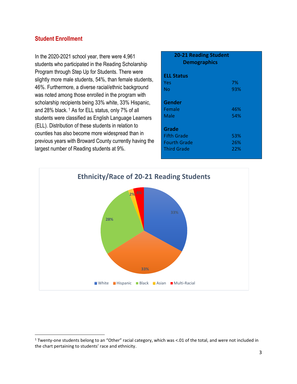### **Student Enrollment**

In the 2020-2021 school year, there were 4,961 students who participated in the Reading Scholarship Program through Step Up for Students. There were slightly more male students, 54%, than female students, 46%. Furthermore, a diverse racial/ethnic background was noted among those enrolled in the program with scholarship recipients being 33% white, 33% Hispanic, and 28% black. <sup>1</sup> As for ELL status, only 7% of all students were classified as English Language Learners (ELL). Distribution of these students in relation to counties has also become more widespread than in previous years with Broward County currently having the largest number of Reading students at 9%.

| <b>20-21 Reading Student</b><br><b>Demographics</b> |     |  |  |
|-----------------------------------------------------|-----|--|--|
| <b>ELL Status</b>                                   |     |  |  |
| Yes                                                 | 7%  |  |  |
| No                                                  | 93% |  |  |
|                                                     |     |  |  |
| Gender                                              |     |  |  |
| Female                                              | 46% |  |  |
| Male                                                | 54% |  |  |
|                                                     |     |  |  |
| Grade                                               |     |  |  |
| <b>Fifth Grade</b>                                  | 53% |  |  |
| <b>Fourth Grade</b>                                 | 26% |  |  |
| <b>Third Grade</b>                                  | 22% |  |  |
|                                                     |     |  |  |



<sup>&</sup>lt;sup>1</sup> Twenty-one students belong to an "Other" racial category, which was <.01 of the total, and were not included in the chart pertaining to students' race and ethnicity.